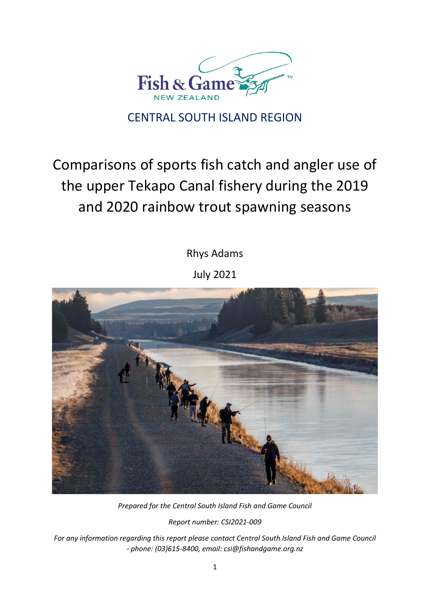

# CENTRAL SOUTH ISLAND REGION

# Comparisons of sports fish catch and angler use of the upper Tekapo Canal fishery during the 2019 and 2020 rainbow trout spawning seasons

Rhys Adams

July 2021



*Prepared for the Central South Island Fish and Game Council*

*Report number: CSI2021-009*

*For any information regarding this report please contact Central South Island Fish and Game Council - phone: (03)615-8400, email: csi@fishandgame.org.nz*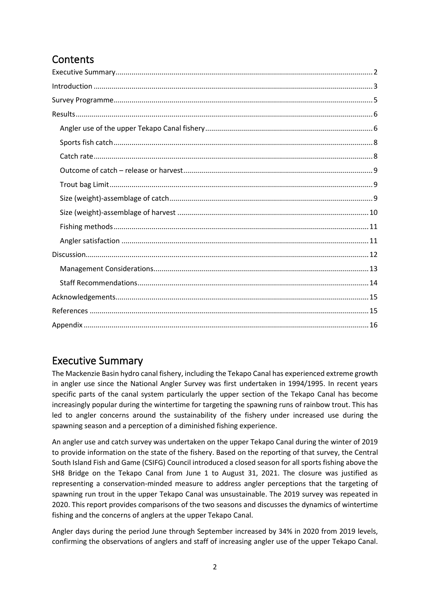# **Contents**

## <span id="page-1-0"></span>Executive Summary

The Mackenzie Basin hydro canal fishery, including the Tekapo Canal has experienced extreme growth in angler use since the National Angler Survey was first undertaken in 1994/1995. In recent years specific parts of the canal system particularly the upper section of the Tekapo Canal has become increasingly popular during the wintertime for targeting the spawning runs of rainbow trout. This has led to angler concerns around the sustainability of the fishery under increased use during the spawning season and a perception of a diminished fishing experience.

An angler use and catch survey was undertaken on the upper Tekapo Canal during the winter of 2019 to provide information on the state of the fishery. Based on the reporting of that survey, the Central South Island Fish and Game (CSIFG) Council introduced a closed season for all sports fishing above the SH8 Bridge on the Tekapo Canal from June 1 to August 31, 2021. The closure was justified as representing a conservation-minded measure to address angler perceptions that the targeting of spawning run trout in the upper Tekapo Canal was unsustainable. The 2019 survey was repeated in 2020. This report provides comparisons of the two seasons and discusses the dynamics of wintertime fishing and the concerns of anglers at the upper Tekapo Canal.

Angler days during the period June through September increased by 34% in 2020 from 2019 levels, confirming the observations of anglers and staff of increasing angler use of the upper Tekapo Canal.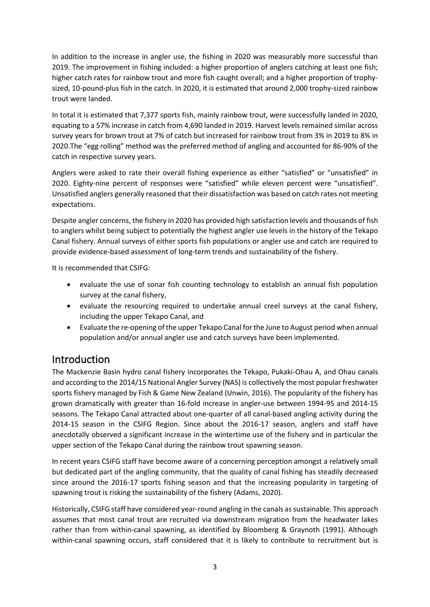In addition to the increase in angler use, the fishing in 2020 was measurably more successful than 2019. The improvement in fishing included: a higher proportion of anglers catching at least one fish; higher catch rates for rainbow trout and more fish caught overall; and a higher proportion of trophysized, 10-pound-plus fish in the catch. In 2020, it is estimated that around 2,000 trophy-sized rainbow trout were landed.

In total it is estimated that 7,377 sports fish, mainly rainbow trout, were successfully landed in 2020, equating to a 57% increase in catch from 4,690 landed in 2019. Harvest levels remained similar across survey years for brown trout at 7% of catch but increased for rainbow trout from 3% in 2019 to 8% in 2020.The "egg rolling" method was the preferred method of angling and accounted for 86-90% of the catch in respective survey years.

Anglers were asked to rate their overall fishing experience as either "satisfied" or "unsatisfied" in 2020. Eighty-nine percent of responses were "satisfied" while eleven percent were "unsatisfied". Unsatisfied anglers generally reasoned that their dissatisfaction was based on catch rates not meeting expectations.

Despite angler concerns, the fishery in 2020 has provided high satisfaction levels and thousands of fish to anglers whilst being subject to potentially the highest angler use levels in the history of the Tekapo Canal fishery. Annual surveys of either sports fish populations or angler use and catch are required to provide evidence-based assessment of long-term trends and sustainability of the fishery.

It is recommended that CSIFG:

- evaluate the use of sonar fish counting technology to establish an annual fish population survey at the canal fishery,
- evaluate the resourcing required to undertake annual creel surveys at the canal fishery, including the upper Tekapo Canal, and
- Evaluate the re-opening of the upper Tekapo Canal for the June to August period when annual population and/or annual angler use and catch surveys have been implemented.

### <span id="page-2-0"></span>Introduction

The Mackenzie Basin hydro canal fishery incorporates the Tekapo, Pukaki-Ohau A, and Ohau canals and according to the 2014/15 National Angler Survey (NAS) is collectively the most popular freshwater sports fishery managed by Fish & Game New Zealand (Unwin, 2016). The popularity of the fishery has grown dramatically with greater than 16-fold increase in angler-use between 1994-95 and 2014-15 seasons. The Tekapo Canal attracted about one-quarter of all canal-based angling activity during the 2014-15 season in the CSIFG Region. Since about the 2016-17 season, anglers and staff have anecdotally observed a significant increase in the wintertime use of the fishery and in particular the upper section of the Tekapo Canal during the rainbow trout spawning season.

In recent years CSIFG staff have become aware of a concerning perception amongst a relatively small but dedicated part of the angling community, that the quality of canal fishing has steadily decreased since around the 2016-17 sports fishing season and that the increasing popularity in targeting of spawning trout is risking the sustainability of the fishery (Adams, 2020).

Historically, CSIFG staff have considered year-round angling in the canals assustainable. This approach assumes that most canal trout are recruited via downstream migration from the headwater lakes rather than from within-canal spawning, as identified by Bloomberg & Graynoth (1991). Although within-canal spawning occurs, staff considered that it is likely to contribute to recruitment but is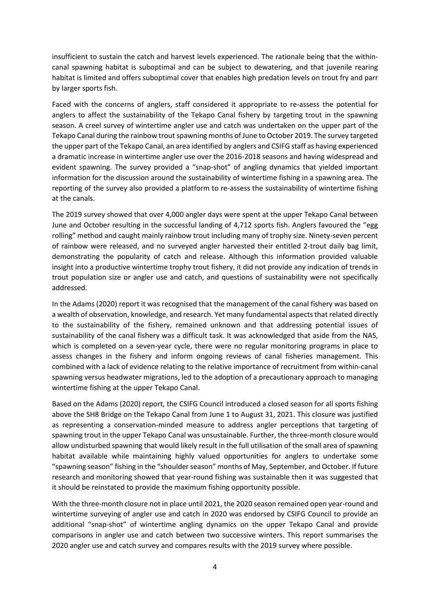insufficient to sustain the catch and harvest levels experienced. The rationale being that the withincanal spawning habitat is suboptimal and can be subject to dewatering, and that juvenile rearing habitat is limited and offers suboptimal cover that enables high predation levels on trout fry and parr by larger sports fish.

Faced with the concerns of anglers, staff considered it appropriate to re-assess the potential for anglers to affect the sustainability of the Tekapo Canal fishery by targeting trout in the spawning season. A creel survey of wintertime angler use and catch was undertaken on the upper part of the Tekapo Canal during the rainbow trout spawning months of June to October 2019. The survey targeted the upper part of the Tekapo Canal, an area identified by anglers and CSIFG staff as having experienced a dramatic increase in wintertime angler use over the 2016-2018 seasons and having widespread and evident spawning. The survey provided a "snap-shot" of angling dynamics that yielded important information for the discussion around the sustainability of wintertime fishing in a spawning area. The reporting of the survey also provided a platform to re-assess the sustainability of wintertime fishing at the canals.

The 2019 survey showed that over 4,000 angler days were spent at the upper Tekapo Canal between June and October resulting in the successful landing of 4,712 sports fish. Anglers favoured the "egg rolling" method and caught mainly rainbow trout including many of trophy size. Ninety-seven percent of rainbow were released, and no surveyed angler harvested their entitled 2-trout daily bag limit, demonstrating the popularity of catch and release. Although this information provided valuable insight into a productive wintertime trophy trout fishery, it did not provide any indication of trends in trout population size or angler use and catch, and questions of sustainability were not specifically addressed.

In the Adams (2020) report it was recognised that the management of the canal fishery was based on a wealth of observation, knowledge, and research. Yet many fundamental aspects that related directly to the sustainability of the fishery, remained unknown and that addressing potential issues of sustainability of the canal fishery was a difficult task. It was acknowledged that aside from the NAS, which is completed on a seven-year cycle, there were no regular monitoring programs in place to assess changes in the fishery and inform ongoing reviews of canal fisheries management. This combined with a lack of evidence relating to the relative importance of recruitment from within-canal spawning versus headwater migrations, led to the adoption of a precautionary approach to managing wintertime fishing at the upper Tekapo Canal.

Based on the Adams (2020) report, the CSIFG Council introduced a closed season for all sports fishing above the SH8 Bridge on the Tekapo Canal from June 1 to August 31, 2021. This closure was justified as representing a conservation-minded measure to address angler perceptions that targeting of spawning trout in the upper Tekapo Canal was unsustainable. Further, the three-month closure would allow undisturbed spawning that would likely result in the full utilisation of the small area of spawning habitat available while maintaining highly valued opportunities for anglers to undertake some "spawning season" fishing in the "shoulder season" months of May, September, and October. If future research and monitoring showed that year-round fishing was sustainable then it was suggested that it should be reinstated to provide the maximum fishing opportunity possible.

With the three-month closure not in place until 2021, the 2020 season remained open year-round and wintertime surveying of angler use and catch in 2020 was endorsed by CSIFG Council to provide an additional "snap-shot" of wintertime angling dynamics on the upper Tekapo Canal and provide comparisons in angler use and catch between two successive winters. This report summarises the 2020 angler use and catch survey and compares results with the 2019 survey where possible.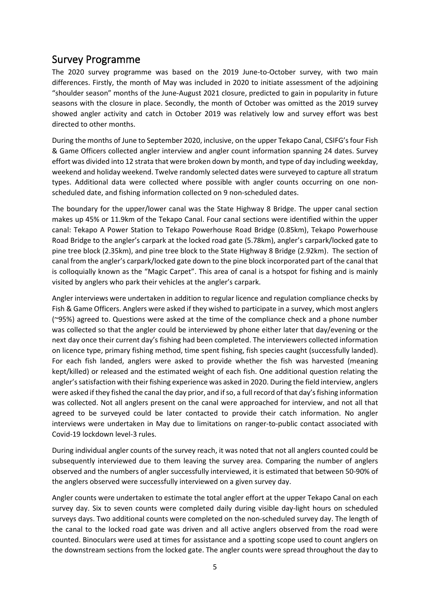### <span id="page-4-0"></span>Survey Programme

The 2020 survey programme was based on the 2019 June-to-October survey, with two main differences. Firstly, the month of May was included in 2020 to initiate assessment of the adjoining "shoulder season" months of the June-August 2021 closure, predicted to gain in popularity in future seasons with the closure in place. Secondly, the month of October was omitted as the 2019 survey showed angler activity and catch in October 2019 was relatively low and survey effort was best directed to other months.

During the months of June to September 2020, inclusive, on the upper Tekapo Canal, CSIFG's four Fish & Game Officers collected angler interview and angler count information spanning 24 dates. Survey effort was divided into 12 strata that were broken down by month, and type of day including weekday, weekend and holiday weekend. Twelve randomly selected dates were surveyed to capture all stratum types. Additional data were collected where possible with angler counts occurring on one nonscheduled date, and fishing information collected on 9 non-scheduled dates.

The boundary for the upper/lower canal was the State Highway 8 Bridge. The upper canal section makes up 45% or 11.9km of the Tekapo Canal. Four canal sections were identified within the upper canal: Tekapo A Power Station to Tekapo Powerhouse Road Bridge (0.85km), Tekapo Powerhouse Road Bridge to the angler's carpark at the locked road gate (5.78km), angler's carpark/locked gate to pine tree block (2.35km), and pine tree block to the State Highway 8 Bridge (2.92km). The section of canal from the angler's carpark/locked gate down to the pine block incorporated part of the canal that is colloquially known as the "Magic Carpet". This area of canal is a hotspot for fishing and is mainly visited by anglers who park their vehicles at the angler's carpark.

Angler interviews were undertaken in addition to regular licence and regulation compliance checks by Fish & Game Officers. Anglers were asked if they wished to participate in a survey, which most anglers (~95%) agreed to. Questions were asked at the time of the compliance check and a phone number was collected so that the angler could be interviewed by phone either later that day/evening or the next day once their current day's fishing had been completed. The interviewers collected information on licence type, primary fishing method, time spent fishing, fish species caught (successfully landed). For each fish landed, anglers were asked to provide whether the fish was harvested (meaning kept/killed) or released and the estimated weight of each fish. One additional question relating the angler's satisfaction with their fishing experience was asked in 2020. During the field interview, anglers were asked if they fished the canal the day prior, and if so, a full record of that day's fishing information was collected. Not all anglers present on the canal were approached for interview, and not all that agreed to be surveyed could be later contacted to provide their catch information. No angler interviews were undertaken in May due to limitations on ranger-to-public contact associated with Covid-19 lockdown level-3 rules.

During individual angler counts of the survey reach, it was noted that not all anglers counted could be subsequently interviewed due to them leaving the survey area. Comparing the number of anglers observed and the numbers of angler successfully interviewed, it is estimated that between 50-90% of the anglers observed were successfully interviewed on a given survey day.

Angler counts were undertaken to estimate the total angler effort at the upper Tekapo Canal on each survey day. Six to seven counts were completed daily during visible day-light hours on scheduled surveys days. Two additional counts were completed on the non-scheduled survey day. The length of the canal to the locked road gate was driven and all active anglers observed from the road were counted. Binoculars were used at times for assistance and a spotting scope used to count anglers on the downstream sections from the locked gate. The angler counts were spread throughout the day to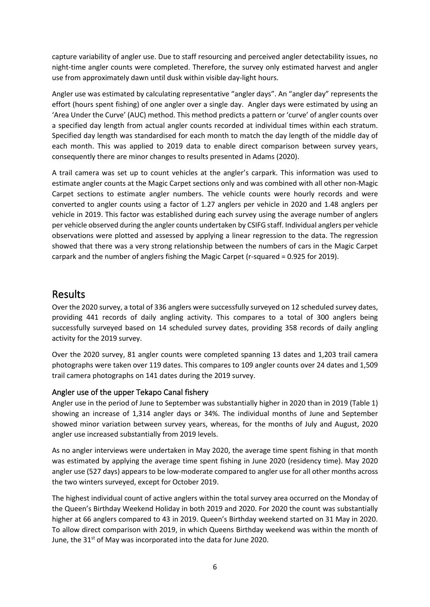capture variability of angler use. Due to staff resourcing and perceived angler detectability issues, no night-time angler counts were completed. Therefore, the survey only estimated harvest and angler use from approximately dawn until dusk within visible day-light hours.

Angler use was estimated by calculating representative "angler days". An "angler day" represents the effort (hours spent fishing) of one angler over a single day. Angler days were estimated by using an 'Area Under the Curve' (AUC) method. This method predicts a pattern or 'curve' of angler counts over a specified day length from actual angler counts recorded at individual times within each stratum. Specified day length was standardised for each month to match the day length of the middle day of each month. This was applied to 2019 data to enable direct comparison between survey years, consequently there are minor changes to results presented in Adams (2020).

A trail camera was set up to count vehicles at the angler's carpark. This information was used to estimate angler counts at the Magic Carpet sections only and was combined with all other non-Magic Carpet sections to estimate angler numbers. The vehicle counts were hourly records and were converted to angler counts using a factor of 1.27 anglers per vehicle in 2020 and 1.48 anglers per vehicle in 2019. This factor was established during each survey using the average number of anglers per vehicle observed during the angler counts undertaken by CSIFG staff. Individual anglers per vehicle observations were plotted and assessed by applying a linear regression to the data. The regression showed that there was a very strong relationship between the numbers of cars in the Magic Carpet carpark and the number of anglers fishing the Magic Carpet (r-squared = 0.925 for 2019).

### <span id="page-5-0"></span>Results

Over the 2020 survey, a total of 336 anglers were successfully surveyed on 12 scheduled survey dates, providing 441 records of daily angling activity. This compares to a total of 300 anglers being successfully surveyed based on 14 scheduled survey dates, providing 358 records of daily angling activity for the 2019 survey.

Over the 2020 survey, 81 angler counts were completed spanning 13 dates and 1,203 trail camera photographs were taken over 119 dates. This compares to 109 angler counts over 24 dates and 1,509 trail camera photographs on 141 dates during the 2019 survey.

#### <span id="page-5-1"></span>Angler use of the upper Tekapo Canal fishery

Angler use in the period of June to September was substantially higher in 2020 than in 2019 (Table 1) showing an increase of 1,314 angler days or 34%. The individual months of June and September showed minor variation between survey years, whereas, for the months of July and August, 2020 angler use increased substantially from 2019 levels.

As no angler interviews were undertaken in May 2020, the average time spent fishing in that month was estimated by applying the average time spent fishing in June 2020 (residency time). May 2020 angler use (527 days) appears to be low-moderate compared to angler use for all other months across the two winters surveyed, except for October 2019.

The highest individual count of active anglers within the total survey area occurred on the Monday of the Queen's Birthday Weekend Holiday in both 2019 and 2020. For 2020 the count was substantially higher at 66 anglers compared to 43 in 2019. Queen's Birthday weekend started on 31 May in 2020. To allow direct comparison with 2019, in which Queens Birthday weekend was within the month of June, the  $31<sup>st</sup>$  of May was incorporated into the data for June 2020.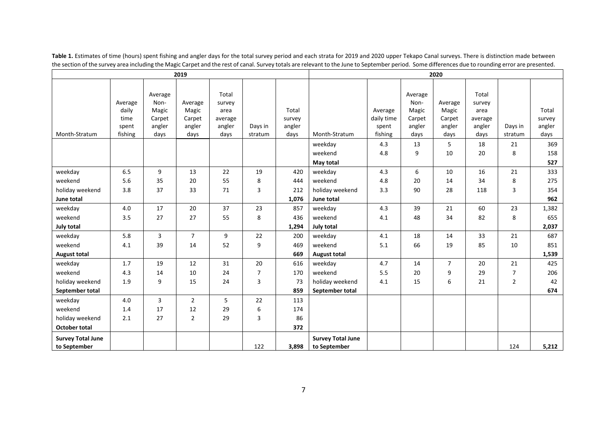| 2019                     |         |         |                | 2020    |         |        |                          |            |         |                |         |                |        |
|--------------------------|---------|---------|----------------|---------|---------|--------|--------------------------|------------|---------|----------------|---------|----------------|--------|
|                          |         |         |                |         |         |        |                          |            |         |                |         |                |        |
|                          |         | Average |                | Total   |         |        |                          |            | Average |                | Total   |                |        |
|                          | Average | Non-    | Average        | survey  |         |        |                          |            | Non-    | Average        | survey  |                |        |
|                          | daily   | Magic   | Magic          | area    |         | Total  |                          | Average    | Magic   | Magic          | area    |                | Total  |
|                          | time    | Carpet  | Carpet         | average |         | survey |                          | daily time | Carpet  | Carpet         | average |                | survey |
|                          | spent   | angler  | angler         | angler  | Days in | angler |                          | spent      | angler  | angler         | angler  | Days in        | angler |
| Month-Stratum            | fishing | days    | days           | days    | stratum | days   | Month-Stratum            | fishing    | days    | days           | days    | stratum        | days   |
|                          |         |         |                |         |         |        | weekday                  | 4.3        | 13      | 5              | 18      | 21             | 369    |
|                          |         |         |                |         |         |        | weekend                  | 4.8        | 9       | 10             | 20      | 8              | 158    |
|                          |         |         |                |         |         |        | May total                |            |         |                |         |                | 527    |
| weekday                  | 6.5     | 9       | 13             | 22      | 19      | 420    | weekday                  | 4.3        | 6       | 10             | 16      | 21             | 333    |
| weekend                  | 5.6     | 35      | 20             | 55      | 8       | 444    | weekend                  | 4.8        | 20      | 14             | 34      | 8              | 275    |
| holiday weekend          | 3.8     | 37      | 33             | 71      | 3       | 212    | holiday weekend          | 3.3        | 90      | 28             | 118     | 3              | 354    |
| June total               |         |         |                |         |         | 1,076  | June total               |            |         |                |         |                | 962    |
| weekday                  | 4.0     | 17      | 20             | 37      | 23      | 857    | weekday                  | 4.3        | 39      | 21             | 60      | 23             | 1,382  |
| weekend                  | 3.5     | 27      | 27             | 55      | 8       | 436    | weekend                  | 4.1        | 48      | 34             | 82      | 8              | 655    |
| <b>July total</b>        |         |         |                |         |         | 1,294  | July total               |            |         |                |         |                | 2,037  |
| weekday                  | 5.8     | 3       | $\overline{7}$ | 9       | 22      | 200    | weekday                  | 4.1        | 18      | 14             | 33      | 21             | 687    |
| weekend                  | 4.1     | 39      | 14             | 52      | 9       | 469    | weekend                  | 5.1        | 66      | 19             | 85      | 10             | 851    |
| <b>August total</b>      |         |         |                |         |         | 669    | <b>August total</b>      |            |         |                |         |                | 1,539  |
| weekday                  | 1.7     | 19      | 12             | 31      | 20      | 616    | weekday                  | 4.7        | 14      | $\overline{7}$ | 20      | 21             | 425    |
| weekend                  | 4.3     | 14      | 10             | 24      | 7       | 170    | weekend                  | 5.5        | 20      | 9              | 29      | 7              | 206    |
| holiday weekend          | 1.9     | 9       | 15             | 24      | 3       | 73     | holiday weekend          | 4.1        | 15      | 6              | 21      | $\overline{2}$ | 42     |
| September total          |         |         |                |         |         | 859    | September total          |            |         |                |         |                | 674    |
| weekday                  | 4.0     | 3       | 2              | 5       | 22      | 113    |                          |            |         |                |         |                |        |
| weekend                  | 1.4     | 17      | 12             | 29      | 6       | 174    |                          |            |         |                |         |                |        |
| holiday weekend          | 2.1     | 27      | $\overline{2}$ | 29      | 3       | 86     |                          |            |         |                |         |                |        |
| <b>October total</b>     |         |         |                |         |         | 372    |                          |            |         |                |         |                |        |
| <b>Survey Total June</b> |         |         |                |         |         |        | <b>Survey Total June</b> |            |         |                |         |                |        |
| to September             |         |         |                |         | 122     | 3.898  | to September             |            |         |                |         | 124            | 5,212  |

Table 1. Estimates of time (hours) spent fishing and angler days for the total survey period and each strata for 2019 and 2020 upper Tekapo Canal surveys. There is distinction made between the section of the survey area including the Magic Carpet and the rest of canal. Survey totals are relevant to the June to September period. Some differences due to rounding error are presented.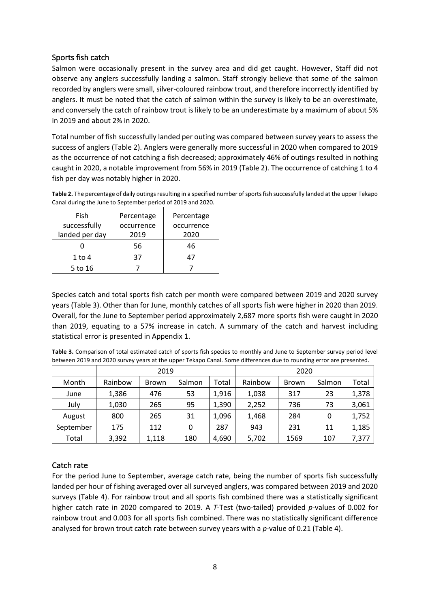#### <span id="page-7-0"></span>Sports fish catch

Salmon were occasionally present in the survey area and did get caught. However, Staff did not observe any anglers successfully landing a salmon. Staff strongly believe that some of the salmon recorded by anglers were small, silver-coloured rainbow trout, and therefore incorrectly identified by anglers. It must be noted that the catch of salmon within the survey is likely to be an overestimate, and conversely the catch of rainbow trout is likely to be an underestimate by a maximum of about 5% in 2019 and about 2% in 2020.

Total number of fish successfully landed per outing was compared between survey years to assess the success of anglers (Table 2). Anglers were generally more successful in 2020 when compared to 2019 as the occurrence of not catching a fish decreased; approximately 46% of outings resulted in nothing caught in 2020, a notable improvement from 56% in 2019 (Table 2). The occurrence of catching 1 to 4 fish per day was notably higher in 2020.

| Canal daring the sancto September period or 2015 and 2020. |            |            |
|------------------------------------------------------------|------------|------------|
| Fish                                                       | Percentage | Percentage |
| successfully                                               | occurrence | occurrence |
| landed per day                                             | 2019       | 2020       |
|                                                            | 56         | 46         |
| $1$ to $4$                                                 | 37         | 47         |
| 5 to 16                                                    |            |            |

**Table 2.** The percentage of daily outings resulting in a specified number of sports fish successfully landed at the upper Tekapo Canal during the June to September period of 2019 and 2020.

Species catch and total sports fish catch per month were compared between 2019 and 2020 survey years (Table 3). Other than for June, monthly catches of all sports fish were higher in 2020 than 2019. Overall, for the June to September period approximately 2,687 more sports fish were caught in 2020 than 2019, equating to a 57% increase in catch. A summary of the catch and harvest including statistical error is presented in Appendix 1.

| Table 3. Comparison of total estimated catch of sports fish species to monthly and June to September survey period level |
|--------------------------------------------------------------------------------------------------------------------------|
| between 2019 and 2020 survey years at the upper Tekapo Canal. Some differences due to rounding error are presented.      |

|           |         | 2019         |        |       |         | 2020  |        |       |
|-----------|---------|--------------|--------|-------|---------|-------|--------|-------|
| Month     | Rainbow | <b>Brown</b> | Salmon | Total | Rainbow | Brown | Salmon | Total |
| June      | 1,386   | 476          | 53     | 1,916 | 1,038   | 317   | 23     | 1,378 |
| July      | 1,030   | 265          | 95     | 1,390 | 2,252   | 736   | 73     | 3,061 |
| August    | 800     | 265          | 31     | 1,096 | 1,468   | 284   | 0      | 1,752 |
| September | 175     | 112          | 0      | 287   | 943     | 231   | 11     | 1,185 |
| Total     | 3,392   | 1,118        | 180    | 4,690 | 5,702   | 1569  | 107    | 7,377 |

#### <span id="page-7-1"></span>Catch rate

For the period June to September, average catch rate, being the number of sports fish successfully landed per hour of fishing averaged over all surveyed anglers, was compared between 2019 and 2020 surveys (Table 4). For rainbow trout and all sports fish combined there was a statistically significant higher catch rate in 2020 compared to 2019. A *T*-Test (two-tailed) provided *p*-values of 0.002 for rainbow trout and 0.003 for all sports fish combined. There was no statistically significant difference analysed for brown trout catch rate between survey years with a *p*-value of 0.21 (Table 4).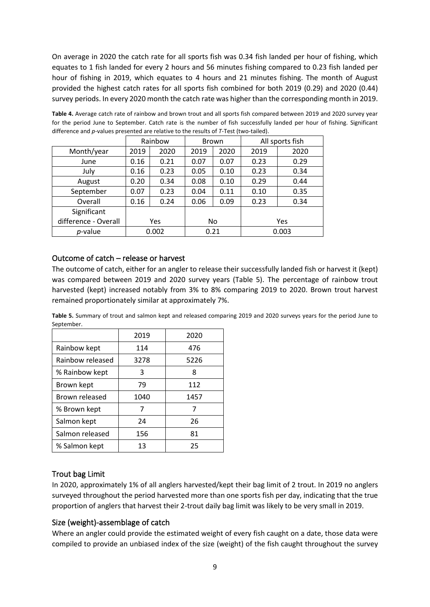On average in 2020 the catch rate for all sports fish was 0.34 fish landed per hour of fishing, which equates to 1 fish landed for every 2 hours and 56 minutes fishing compared to 0.23 fish landed per hour of fishing in 2019, which equates to 4 hours and 21 minutes fishing. The month of August provided the highest catch rates for all sports fish combined for both 2019 (0.29) and 2020 (0.44) survey periods. In every 2020 month the catch rate was higher than the corresponding month in 2019.

**Table 4.** Average catch rate of rainbow and brown trout and all sports fish compared between 2019 and 2020 survey year for the period June to September. Catch rate is the number of fish successfully landed per hour of fishing. Significant difference and *p*-values presented are relative to the results of *T*-Test (two-tailed).

|                      |      | Rainbow |      | Brown |      | All sports fish |
|----------------------|------|---------|------|-------|------|-----------------|
| Month/year           | 2019 | 2020    | 2019 | 2020  | 2019 | 2020            |
| June                 | 0.16 | 0.21    | 0.07 | 0.07  | 0.23 | 0.29            |
| July                 | 0.16 | 0.23    | 0.05 | 0.10  | 0.23 | 0.34            |
| August               | 0.20 | 0.34    | 0.08 | 0.10  | 0.29 | 0.44            |
| September            | 0.07 | 0.23    | 0.04 | 0.11  | 0.10 | 0.35            |
| Overall              | 0.16 | 0.24    | 0.06 | 0.09  | 0.23 | 0.34            |
| Significant          |      |         |      |       |      |                 |
| difference - Overall |      | Yes     |      | No    |      | Yes             |
| p-value              |      | 0.002   | 0.21 |       |      | 0.003           |

#### <span id="page-8-0"></span>Outcome of catch – release or harvest

The outcome of catch, either for an angler to release their successfully landed fish or harvest it (kept) was compared between 2019 and 2020 survey years (Table 5). The percentage of rainbow trout harvested (kept) increased notably from 3% to 8% comparing 2019 to 2020. Brown trout harvest remained proportionately similar at approximately 7%.

**Table 5.** Summary of trout and salmon kept and released comparing 2019 and 2020 surveys years for the period June to September.

| .                |      |      |
|------------------|------|------|
|                  | 2019 | 2020 |
| Rainbow kept     | 114  | 476  |
| Rainbow released | 3278 | 5226 |
| % Rainbow kept   | 3    | 8    |
| Brown kept       | 79   | 112  |
| Brown released   | 1040 | 1457 |
| % Brown kept     | 7    | 7    |
| Salmon kept      | 24   | 26   |
| Salmon released  | 156  | 81   |
| % Salmon kept    | 13   | 25   |
|                  |      |      |

#### <span id="page-8-1"></span>Trout bag Limit

In 2020, approximately 1% of all anglers harvested/kept their bag limit of 2 trout. In 2019 no anglers surveyed throughout the period harvested more than one sports fish per day, indicating that the true proportion of anglers that harvest their 2-trout daily bag limit was likely to be very small in 2019.

#### <span id="page-8-2"></span>Size (weight)-assemblage of catch

Where an angler could provide the estimated weight of every fish caught on a date, those data were compiled to provide an unbiased index of the size (weight) of the fish caught throughout the survey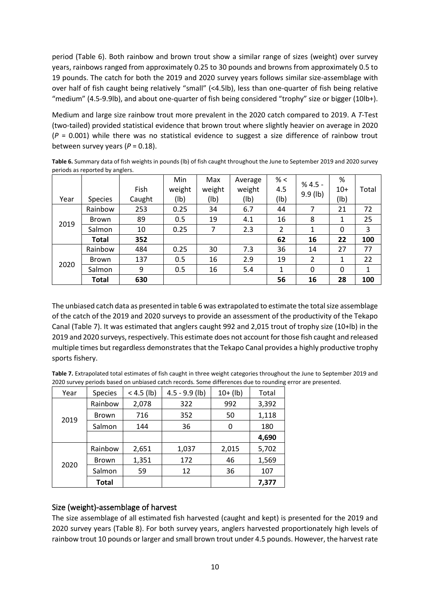period (Table 6). Both rainbow and brown trout show a similar range of sizes (weight) over survey years, rainbows ranged from approximately 0.25 to 30 pounds and browns from approximately 0.5 to 19 pounds. The catch for both the 2019 and 2020 survey years follows similar size-assemblage with over half of fish caught being relatively "small" (<4.5lb), less than one-quarter of fish being relative "medium" (4.5-9.9lb), and about one-quarter of fish being considered "trophy" size or bigger (10lb+).

Medium and large size rainbow trout more prevalent in the 2020 catch compared to 2019. A *T*-Test (two-tailed) provided statistical evidence that brown trout where slightly heavier on average in 2020 (*P* = 0.001) while there was no statistical evidence to suggest a size difference of rainbow trout between survey years  $(P = 0.18)$ .

**Table 6.** Summary data of fish weights in pounds (lb) of fish caught throughout the June to September 2019 and 2020 survey periods as reported by anglers.

|      |                |        | Min    | Max    | Average | % <  | $% 4.5 -$      | %     |       |
|------|----------------|--------|--------|--------|---------|------|----------------|-------|-------|
|      |                | Fish   | weight | weight | weight  | 4.5  |                | $10+$ | Total |
| Year | <b>Species</b> | Caught | (1b)   | (1b)   | (1b)    | (1b) | $9.9$ (lb)     | (1b)  |       |
|      | Rainbow        | 253    | 0.25   | 34     | 6.7     | 44   |                | 21    | 72    |
|      | Brown          | 89     | 0.5    | 19     | 4.1     | 16   | 8              | 1     | 25    |
| 2019 | Salmon         | 10     | 0.25   | 7      | 2.3     | 2    | 1              | 0     | 3     |
|      | <b>Total</b>   | 352    |        |        |         | 62   | 16             | 22    | 100   |
|      | Rainbow        | 484    | 0.25   | 30     | 7.3     | 36   | 14             | 27    | 77    |
| 2020 | Brown          | 137    | 0.5    | 16     | 2.9     | 19   | $\overline{2}$ | 1     | 22    |
|      | Salmon         | 9      | 0.5    | 16     | 5.4     | 1    | 0              | 0     | 1     |
|      | <b>Total</b>   | 630    |        |        |         | 56   | 16             | 28    | 100   |

The unbiased catch data as presented in table 6 was extrapolated to estimate the total size assemblage of the catch of the 2019 and 2020 surveys to provide an assessment of the productivity of the Tekapo Canal (Table 7). It was estimated that anglers caught 992 and 2,015 trout of trophy size (10+lb) in the 2019 and 2020 surveys, respectively. This estimate does not account for those fish caught and released multiple times but regardless demonstratesthat the Tekapo Canal provides a highly productive trophy sports fishery.

| Table 7. Extrapolated total estimates of fish caught in three weight categories throughout the June to September 2019 and |
|---------------------------------------------------------------------------------------------------------------------------|
| 2020 survey periods based on unbiased catch records. Some differences due to rounding error are presented.                |

| Year | <b>Species</b> | $< 4.5$ (lb) | $4.5 - 9.9$ (lb) | $10+$ (lb) | Total |
|------|----------------|--------------|------------------|------------|-------|
|      | Rainbow        | 2,078        | 322              | 992        | 3,392 |
| 2019 | <b>Brown</b>   | 716          | 352              | 50         | 1,118 |
|      | Salmon         | 144          | 36               | 0          | 180   |
|      |                |              |                  |            | 4,690 |
|      | Rainbow        | 2,651        | 1,037            | 2,015      | 5,702 |
| 2020 | <b>Brown</b>   | 1,351        | 172              | 46         | 1,569 |
|      | Salmon         | 59           | 12               | 36         | 107   |
|      | <b>Total</b>   |              |                  |            | 7,377 |

#### <span id="page-9-0"></span>Size (weight)-assemblage of harvest

The size assemblage of all estimated fish harvested (caught and kept) is presented for the 2019 and 2020 survey years (Table 8). For both survey years, anglers harvested proportionately high levels of rainbow trout 10 pounds or larger and small brown trout under 4.5 pounds. However, the harvest rate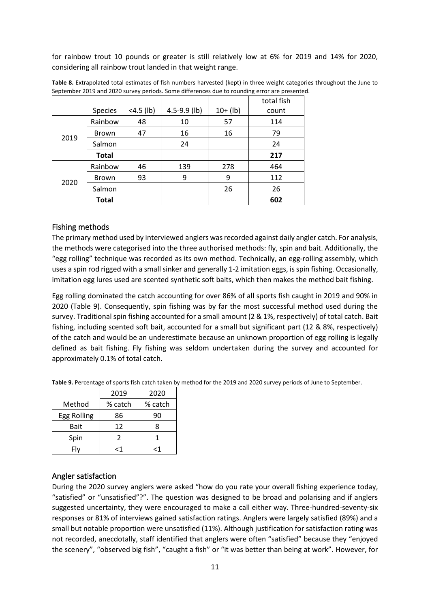for rainbow trout 10 pounds or greater is still relatively low at 6% for 2019 and 14% for 2020, considering all rainbow trout landed in that weight range.

|      |                |              |                  |            | total fish |
|------|----------------|--------------|------------------|------------|------------|
|      | <b>Species</b> | $<$ 4.5 (lb) | $4.5 - 9.9$ (lb) | $10+$ (lb) | count      |
|      | Rainbow        | 48           | 10               | 57         | 114        |
| 2019 | <b>Brown</b>   | 47           | 16               | 16         | 79         |
|      | Salmon         |              | 24               |            | 24         |
|      | <b>Total</b>   |              |                  |            | 217        |
|      | Rainbow        | 46           | 139              | 278        | 464        |
|      | <b>Brown</b>   | 93           | 9                | 9          | 112        |
| 2020 | Salmon         |              |                  | 26         | 26         |
|      | <b>Total</b>   |              |                  |            | 602        |

**Table 8.** Extrapolated total estimates of fish numbers harvested (kept) in three weight categories throughout the June to September 2019 and 2020 survey periods. Some differences due to rounding error are presented.

#### <span id="page-10-0"></span>Fishing methods

The primary method used by interviewed anglers was recorded against daily angler catch. For analysis, the methods were categorised into the three authorised methods: fly, spin and bait. Additionally, the "egg rolling" technique was recorded as its own method. Technically, an egg-rolling assembly, which uses a spin rod rigged with a small sinker and generally 1-2 imitation eggs, is spin fishing. Occasionally, imitation egg lures used are scented synthetic soft baits, which then makes the method bait fishing.

Egg rolling dominated the catch accounting for over 86% of all sports fish caught in 2019 and 90% in 2020 (Table 9). Consequently, spin fishing was by far the most successful method used during the survey. Traditional spin fishing accounted for a small amount (2 & 1%, respectively) of total catch. Bait fishing, including scented soft bait, accounted for a small but significant part (12 & 8%, respectively) of the catch and would be an underestimate because an unknown proportion of egg rolling is legally defined as bait fishing. Fly fishing was seldom undertaken during the survey and accounted for approximately 0.1% of total catch.

|             | 2019    | 2020    |
|-------------|---------|---------|
| Method      | % catch | % catch |
| Egg Rolling | 86      | an      |
| <b>Bait</b> | 1 ว     |         |
|             |         |         |

Spin | 2 | 1 Fly | <1 | <1

**Table 9.** Percentage of sports fish catch taken by method for the 2019 and 2020 survey periods of June to September.

#### <span id="page-10-1"></span>Angler satisfaction

During the 2020 survey anglers were asked "how do you rate your overall fishing experience today, "satisfied" or "unsatisfied"?". The question was designed to be broad and polarising and if anglers suggested uncertainty, they were encouraged to make a call either way. Three-hundred-seventy-six responses or 81% of interviews gained satisfaction ratings. Anglers were largely satisfied (89%) and a small but notable proportion were unsatisfied (11%). Although justification for satisfaction rating was not recorded, anecdotally, staff identified that anglers were often "satisfied" because they "enjoyed the scenery", "observed big fish", "caught a fish" or "it was better than being at work". However, for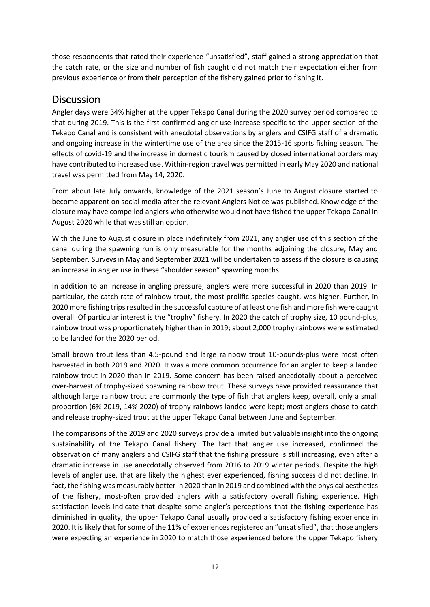those respondents that rated their experience "unsatisfied", staff gained a strong appreciation that the catch rate, or the size and number of fish caught did not match their expectation either from previous experience or from their perception of the fishery gained prior to fishing it.

### <span id="page-11-0"></span>**Discussion**

Angler days were 34% higher at the upper Tekapo Canal during the 2020 survey period compared to that during 2019. This is the first confirmed angler use increase specific to the upper section of the Tekapo Canal and is consistent with anecdotal observations by anglers and CSIFG staff of a dramatic and ongoing increase in the wintertime use of the area since the 2015-16 sports fishing season. The effects of covid-19 and the increase in domestic tourism caused by closed international borders may have contributed to increased use. Within-region travel was permitted in early May 2020 and national travel was permitted from May 14, 2020.

From about late July onwards, knowledge of the 2021 season's June to August closure started to become apparent on social media after the relevant Anglers Notice was published. Knowledge of the closure may have compelled anglers who otherwise would not have fished the upper Tekapo Canal in August 2020 while that was still an option.

With the June to August closure in place indefinitely from 2021, any angler use of this section of the canal during the spawning run is only measurable for the months adjoining the closure, May and September. Surveys in May and September 2021 will be undertaken to assess if the closure is causing an increase in angler use in these "shoulder season" spawning months.

In addition to an increase in angling pressure, anglers were more successful in 2020 than 2019. In particular, the catch rate of rainbow trout, the most prolific species caught, was higher. Further, in 2020 more fishing trips resulted in the successful capture of at least one fish and more fish were caught overall. Of particular interest is the "trophy" fishery. In 2020 the catch of trophy size, 10 pound-plus, rainbow trout was proportionately higher than in 2019; about 2,000 trophy rainbows were estimated to be landed for the 2020 period.

Small brown trout less than 4.5-pound and large rainbow trout 10-pounds-plus were most often harvested in both 2019 and 2020. It was a more common occurrence for an angler to keep a landed rainbow trout in 2020 than in 2019. Some concern has been raised anecdotally about a perceived over-harvest of trophy-sized spawning rainbow trout. These surveys have provided reassurance that although large rainbow trout are commonly the type of fish that anglers keep, overall, only a small proportion (6% 2019, 14% 2020) of trophy rainbows landed were kept; most anglers chose to catch and release trophy-sized trout at the upper Tekapo Canal between June and September.

The comparisons of the 2019 and 2020 surveys provide a limited but valuable insight into the ongoing sustainability of the Tekapo Canal fishery. The fact that angler use increased, confirmed the observation of many anglers and CSIFG staff that the fishing pressure is still increasing, even after a dramatic increase in use anecdotally observed from 2016 to 2019 winter periods. Despite the high levels of angler use, that are likely the highest ever experienced, fishing success did not decline. In fact, the fishing was measurably better in 2020 than in 2019 and combined with the physical aesthetics of the fishery, most-often provided anglers with a satisfactory overall fishing experience. High satisfaction levels indicate that despite some angler's perceptions that the fishing experience has diminished in quality, the upper Tekapo Canal usually provided a satisfactory fishing experience in 2020. It is likely that for some of the 11% of experiences registered an "unsatisfied", that those anglers were expecting an experience in 2020 to match those experienced before the upper Tekapo fishery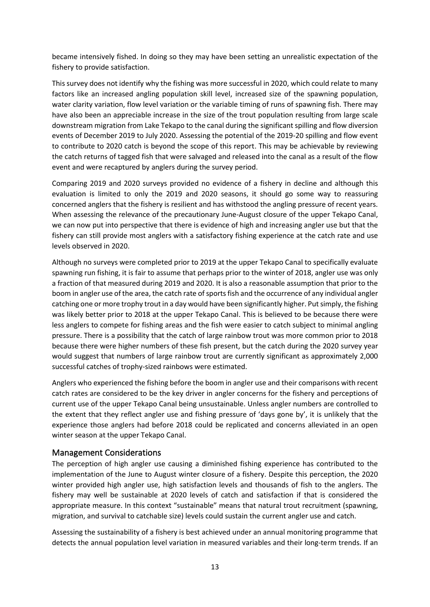became intensively fished. In doing so they may have been setting an unrealistic expectation of the fishery to provide satisfaction.

This survey does not identify why the fishing was more successful in 2020, which could relate to many factors like an increased angling population skill level, increased size of the spawning population, water clarity variation, flow level variation or the variable timing of runs of spawning fish. There may have also been an appreciable increase in the size of the trout population resulting from large scale downstream migration from Lake Tekapo to the canal during the significant spilling and flow diversion events of December 2019 to July 2020. Assessing the potential of the 2019-20 spilling and flow event to contribute to 2020 catch is beyond the scope of this report. This may be achievable by reviewing the catch returns of tagged fish that were salvaged and released into the canal as a result of the flow event and were recaptured by anglers during the survey period.

Comparing 2019 and 2020 surveys provided no evidence of a fishery in decline and although this evaluation is limited to only the 2019 and 2020 seasons, it should go some way to reassuring concerned anglers that the fishery is resilient and has withstood the angling pressure of recent years. When assessing the relevance of the precautionary June-August closure of the upper Tekapo Canal, we can now put into perspective that there is evidence of high and increasing angler use but that the fishery can still provide most anglers with a satisfactory fishing experience at the catch rate and use levels observed in 2020.

Although no surveys were completed prior to 2019 at the upper Tekapo Canal to specifically evaluate spawning run fishing, it is fair to assume that perhaps prior to the winter of 2018, angler use was only a fraction of that measured during 2019 and 2020. It is also a reasonable assumption that prior to the boom in angler use of the area, the catch rate of sports fish and the occurrence of any individual angler catching one or more trophy trout in a day would have been significantly higher. Put simply, the fishing was likely better prior to 2018 at the upper Tekapo Canal. This is believed to be because there were less anglers to compete for fishing areas and the fish were easier to catch subject to minimal angling pressure. There is a possibility that the catch of large rainbow trout was more common prior to 2018 because there were higher numbers of these fish present, but the catch during the 2020 survey year would suggest that numbers of large rainbow trout are currently significant as approximately 2,000 successful catches of trophy-sized rainbows were estimated.

Anglers who experienced the fishing before the boom in angler use and their comparisons with recent catch rates are considered to be the key driver in angler concerns for the fishery and perceptions of current use of the upper Tekapo Canal being unsustainable. Unless angler numbers are controlled to the extent that they reflect angler use and fishing pressure of 'days gone by', it is unlikely that the experience those anglers had before 2018 could be replicated and concerns alleviated in an open winter season at the upper Tekapo Canal.

#### <span id="page-12-0"></span>Management Considerations

The perception of high angler use causing a diminished fishing experience has contributed to the implementation of the June to August winter closure of a fishery. Despite this perception, the 2020 winter provided high angler use, high satisfaction levels and thousands of fish to the anglers. The fishery may well be sustainable at 2020 levels of catch and satisfaction if that is considered the appropriate measure. In this context "sustainable" means that natural trout recruitment (spawning, migration, and survival to catchable size) levels could sustain the current angler use and catch.

Assessing the sustainability of a fishery is best achieved under an annual monitoring programme that detects the annual population level variation in measured variables and their long-term trends. If an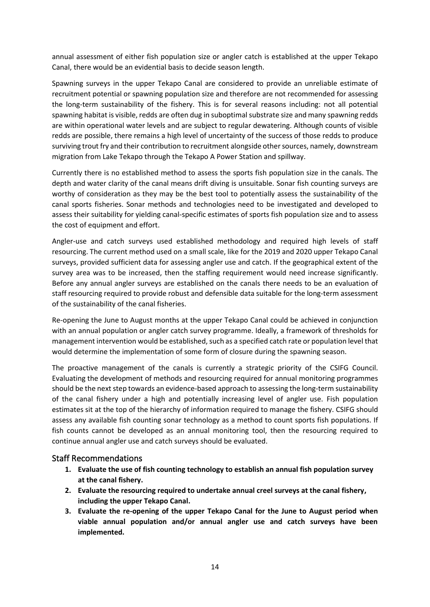annual assessment of either fish population size or angler catch is established at the upper Tekapo Canal, there would be an evidential basis to decide season length.

Spawning surveys in the upper Tekapo Canal are considered to provide an unreliable estimate of recruitment potential or spawning population size and therefore are not recommended for assessing the long-term sustainability of the fishery. This is for several reasons including: not all potential spawning habitat is visible, redds are often dug in suboptimal substrate size and many spawning redds are within operational water levels and are subject to regular dewatering. Although counts of visible redds are possible, there remains a high level of uncertainty of the success of those redds to produce surviving trout fry and their contribution to recruitment alongside other sources, namely, downstream migration from Lake Tekapo through the Tekapo A Power Station and spillway.

Currently there is no established method to assess the sports fish population size in the canals. The depth and water clarity of the canal means drift diving is unsuitable. Sonar fish counting surveys are worthy of consideration as they may be the best tool to potentially assess the sustainability of the canal sports fisheries. Sonar methods and technologies need to be investigated and developed to assess their suitability for yielding canal-specific estimates of sports fish population size and to assess the cost of equipment and effort.

Angler-use and catch surveys used established methodology and required high levels of staff resourcing. The current method used on a small scale, like for the 2019 and 2020 upper Tekapo Canal surveys, provided sufficient data for assessing angler use and catch. If the geographical extent of the survey area was to be increased, then the staffing requirement would need increase significantly. Before any annual angler surveys are established on the canals there needs to be an evaluation of staff resourcing required to provide robust and defensible data suitable for the long-term assessment of the sustainability of the canal fisheries.

Re-opening the June to August months at the upper Tekapo Canal could be achieved in conjunction with an annual population or angler catch survey programme. Ideally, a framework of thresholds for management intervention would be established, such as a specified catch rate or population level that would determine the implementation of some form of closure during the spawning season.

The proactive management of the canals is currently a strategic priority of the CSIFG Council. Evaluating the development of methods and resourcing required for annual monitoring programmes should be the next step towards an evidence-based approach to assessing the long-term sustainability of the canal fishery under a high and potentially increasing level of angler use. Fish population estimates sit at the top of the hierarchy of information required to manage the fishery. CSIFG should assess any available fish counting sonar technology as a method to count sports fish populations. If fish counts cannot be developed as an annual monitoring tool, then the resourcing required to continue annual angler use and catch surveys should be evaluated.

#### <span id="page-13-0"></span>Staff Recommendations

- **1. Evaluate the use of fish counting technology to establish an annual fish population survey at the canal fishery.**
- **2. Evaluate the resourcing required to undertake annual creel surveys at the canal fishery, including the upper Tekapo Canal.**
- **3. Evaluate the re-opening of the upper Tekapo Canal for the June to August period when viable annual population and/or annual angler use and catch surveys have been implemented.**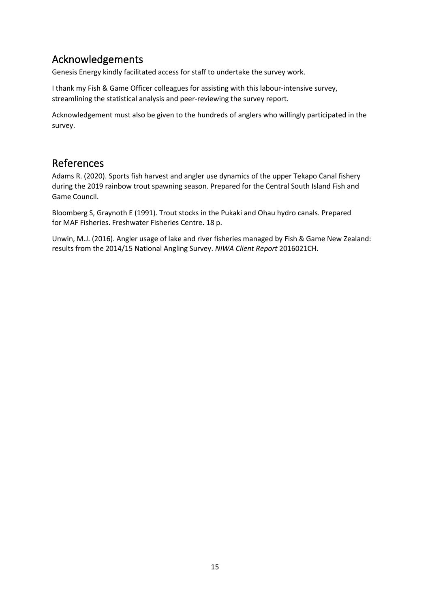# <span id="page-14-0"></span>Acknowledgements

Genesis Energy kindly facilitated access for staff to undertake the survey work.

I thank my Fish & Game Officer colleagues for assisting with this labour-intensive survey, streamlining the statistical analysis and peer-reviewing the survey report.

Acknowledgement must also be given to the hundreds of anglers who willingly participated in the survey.

### <span id="page-14-1"></span>References

Adams R. (2020). Sports fish harvest and angler use dynamics of the upper Tekapo Canal fishery during the 2019 rainbow trout spawning season. Prepared for the Central South Island Fish and Game Council.

Bloomberg S, Graynoth E (1991). Trout stocks in the Pukaki and Ohau hydro canals. Prepared for MAF Fisheries. Freshwater Fisheries Centre. 18 p.

Unwin, M.J. (2016). Angler usage of lake and river fisheries managed by Fish & Game New Zealand: results from the 2014/15 National Angling Survey. *NIWA Client Report* 2016021CH*.*